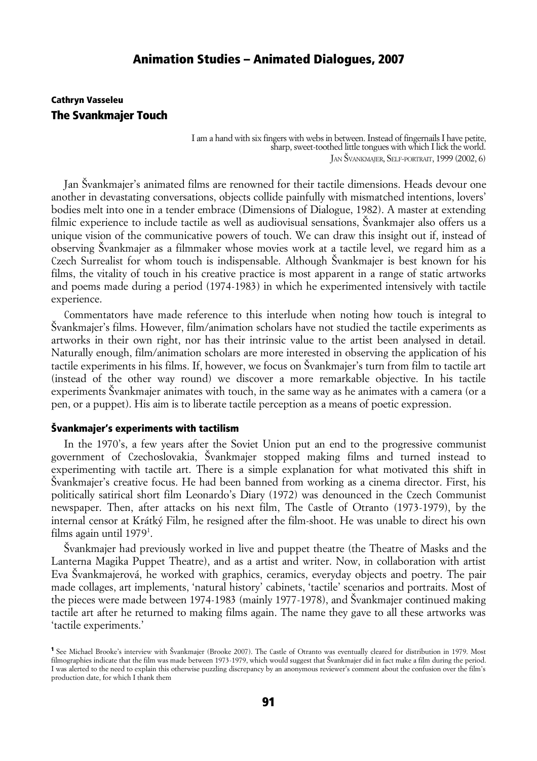### Cathryn Vasseleu The Svankmajer Touch

I am a hand with six fingers with webs in between. Instead of fingernails I have petite, sharp, sweet-toothed little tongues with which I lick the world. JAN ŠVANKMAJER, SELF-PORTRAIT, 1999 (2002, 6)

Jan Švankmajer's animated films are renowned for their tactile dimensions. Heads devour one another in devastating conversations, objects collide painfully with mismatched intentions, lovers' bodies melt into one in a tender embrace (Dimensions of Dialogue, 1982). A master at extending filmic experience to include tactile as well as audiovisual sensations, Švankmajer also offers us a unique vision of the communicative powers of touch. We can draw this insight out if, instead of observing Švankmajer as a filmmaker whose movies work at a tactile level, we regard him as a Czech Surrealist for whom touch is indispensable. Although Švankmajer is best known for his films, the vitality of touch in his creative practice is most apparent in a range of static artworks and poems made during a period (1974-1983) in which he experimented intensively with tactile experience.

Commentators have made reference to this interlude when noting how touch is integral to Švankmajer's films. However, film/animation scholars have not studied the tactile experiments as artworks in their own right, nor has their intrinsic value to the artist been analysed in detail. Naturally enough, film/animation scholars are more interested in observing the application of his tactile experiments in his films. If, however, we focus on Švankmajer's turn from film to tactile art (instead of the other way round) we discover a more remarkable objective. In his tactile experiments Švankmajer animates with touch, in the same way as he animates with a camera (or a pen, or a puppet). His aim is to liberate tactile perception as a means of poetic expression.

#### Švankmajer's experiments with tactilism

In the 1970's, a few years after the Soviet Union put an end to the progressive communist government of Czechoslovakia, Švankmajer stopped making films and turned instead to experimenting with tactile art. There is a simple explanation for what motivated this shift in Švankmajer's creative focus. He had been banned from working as a cinema director. First, his politically satirical short film Leonardo's Diary (1972) was denounced in the Czech Communist newspaper. Then, after attacks on his next film, The Castle of Otranto (1973-1979), by the internal censor at Krátký Film, he resigned after the film-shoot. He was unable to direct his own films again until [1](#page-0-0)979<sup>1</sup>.

Švankmajer had previously worked in live and puppet theatre (the Theatre of Masks and the Lanterna Magika Puppet Theatre), and as a artist and writer. Now, in collaboration with artist Eva Švankmajerová, he worked with graphics, ceramics, everyday objects and poetry. The pair made collages, art implements, 'natural history' cabinets, 'tactile' scenarios and portraits. Most of the pieces were made between 1974-1983 (mainly 1977-1978), and Švankmajer continued making tactile art after he returned to making films again. The name they gave to all these artworks was 'tactile experiments.'

<span id="page-0-0"></span><sup>1</sup> See Michael Brooke's interview with Švankmajer (Brooke 2007). The Castle of Otranto was eventually cleared for distribution in 1979. Most filmographies indicate that the film was made between 1973-1979, which would suggest that Švankmajer did in fact make a film during the period. I was alerted to the need to explain this otherwise puzzling discrepancy by an anonymous reviewer's comment about the confusion over the film's production date, for which I thank them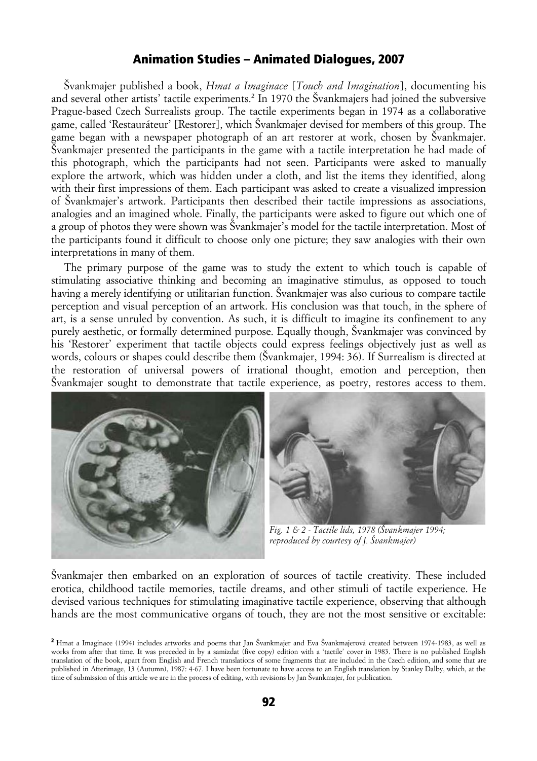Švankmajer published a book, *Hmat a Imaginace* [*Touch and Imagination*], documenting his and several other artists' tactile experiments.<sup>[2](#page-1-0)</sup> In 1970 the Švankmajers had joined the subversive Prague-based Czech Surrealists group. The tactile experiments began in 1974 as a collaborative game, called 'Restauráteur' [Restorer], which Švankmajer devised for members of this group. The game began with a newspaper photograph of an art restorer at work, chosen by Švankmajer. Švankmajer presented the participants in the game with a tactile interpretation he had made of this photograph, which the participants had not seen. Participants were asked to manually explore the artwork, which was hidden under a cloth, and list the items they identified, along with their first impressions of them. Each participant was asked to create a visualized impression of Švankmajer's artwork. Participants then described their tactile impressions as associations, analogies and an imagined whole. Finally, the participants were asked to figure out which one of a group of photos they were shown was Švankmajer's model for the tactile interpretation. Most of the participants found it difficult to choose only one picture; they saw analogies with their own interpretations in many of them.

The primary purpose of the game was to study the extent to which touch is capable of stimulating associative thinking and becoming an imaginative stimulus, as opposed to touch having a merely identifying or utilitarian function. Švankmajer was also curious to compare tactile perception and visual perception of an artwork. His conclusion was that touch, in the sphere of art, is a sense unruled by convention. As such, it is difficult to imagine its confinement to any purely aesthetic, or formally determined purpose. Equally though, Švankmajer was convinced by his 'Restorer' experiment that tactile objects could express feelings objectively just as well as words, colours or shapes could describe them (Švankmajer, 1994: 36). If Surrealism is directed at the restoration of universal powers of irrational thought, emotion and perception, then Švankmajer sought to demonstrate that tactile experience, as poetry, restores access to them.





*Fig. 1 & 2 - Tactile lids, 1978 (Švankmajer 1994; reproduced by courtesy of J. Švankmajer)*

Švankmajer then embarked on an exploration of sources of tactile creativity. These included erotica, childhood tactile memories, tactile dreams, and other stimuli of tactile experience. He devised various techniques for stimulating imaginative tactile experience, observing that although hands are the most communicative organs of touch, they are not the most sensitive or excitable:

<span id="page-1-0"></span><sup>2</sup> Hmat a Imaginace (1994) includes artworks and poems that Jan Švankmajer and Eva Švankmajerová created between 1974-1983, as well as works from after that time. It was preceded in by a samizdat (five copy) edition with a 'tactile' cover in 1983. There is no published English translation of the book, apart from English and French translations of some fragments that are included in the Czech edition, and some that are published in Afterimage, 13 (Autumn), 1987: 4-67. I have been fortunate to have access to an English translation by Stanley Dalby, which, at the time of submission of this article we are in the process of editing, with revisions by Jan Švankmajer, for publication.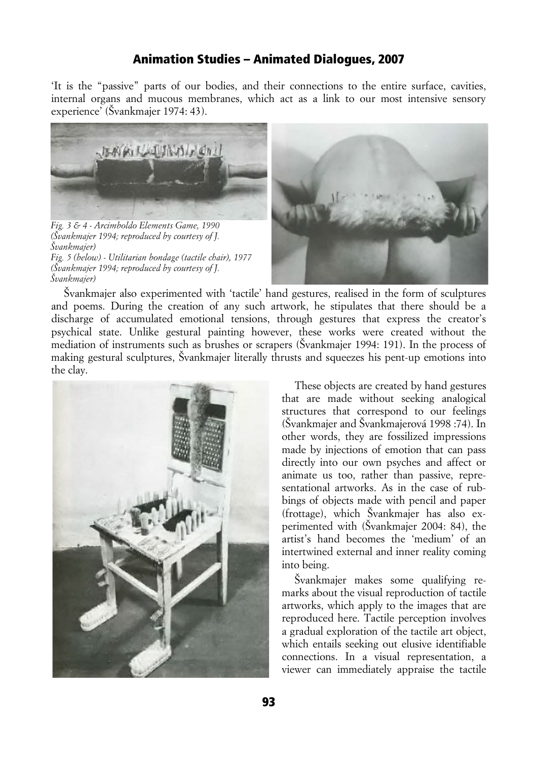'It is the "passive" parts of our bodies, and their connections to the entire surface, cavities, internal organs and mucous membranes, which act as a link to our most intensive sensory experience' (Švankmajer 1974: 43).



*Fig. 3 & 4 - Arcimboldo Elements Game, 1990 (Švankmajer 1994; reproduced by courtesy of J. Švankmajer) Fig. 5 (below) - Utilitarian bondage (tactile chair), 1977 (Švankmajer 1994; reproduced by courtesy of J. Švankmajer)*



Švankmajer also experimented with 'tactile' hand gestures, realised in the form of sculptures and poems. During the creation of any such artwork, he stipulates that there should be a discharge of accumulated emotional tensions, through gestures that express the creator's psychical state. Unlike gestural painting however, these works were created without the mediation of instruments such as brushes or scrapers (Švankmajer 1994: 191). In the process of making gestural sculptures, Švankmajer literally thrusts and squeezes his pent-up emotions into the clay.



These objects are created by hand gestures that are made without seeking analogical structures that correspond to our feelings (Švankmajer and Švankmajerová 1998 :74). In other words, they are fossilized impressions made by injections of emotion that can pass directly into our own psyches and affect or animate us too, rather than passive, representational artworks. As in the case of rubbings of objects made with pencil and paper (frottage), which Švankmajer has also experimented with (Švankmajer 2004: 84), the artist's hand becomes the 'medium' of an intertwined external and inner reality coming into being.

Švankmajer makes some qualifying remarks about the visual reproduction of tactile artworks, which apply to the images that are reproduced here. Tactile perception involves a gradual exploration of the tactile art object, which entails seeking out elusive identifiable connections. In a visual representation, a viewer can immediately appraise the tactile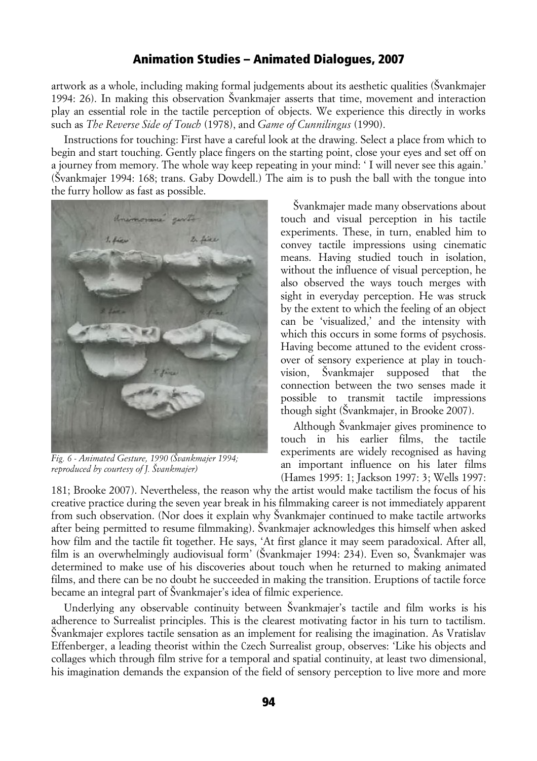artwork as a whole, including making formal judgements about its aesthetic qualities (Švankmajer 1994: 26). In making this observation Švankmajer asserts that time, movement and interaction play an essential role in the tactile perception of objects. We experience this directly in works such as *The Reverse Side of Touch* (1978), and *Game of Cunnilingus* (1990).

Instructions for touching: First have a careful look at the drawing. Select a place from which to begin and start touching. Gently place fingers on the starting point, close your eyes and set off on a journey from memory. The whole way keep repeating in your mind: ' I will never see this again.' (Švankmajer 1994: 168; trans. Gaby Dowdell.) The aim is to push the ball with the tongue into the furry hollow as fast as possible.



*Fig. 6 - Animated Gesture, 1990 (Švankmajer 1994; reproduced by courtesy of J. Švankmajer)*

Švankmajer made many observations about touch and visual perception in his tactile experiments. These, in turn, enabled him to convey tactile impressions using cinematic means. Having studied touch in isolation, without the influence of visual perception, he also observed the ways touch merges with sight in everyday perception. He was struck by the extent to which the feeling of an object can be 'visualized,' and the intensity with which this occurs in some forms of psychosis. Having become attuned to the evident crossover of sensory experience at play in touchvision, Švankmajer supposed that the connection between the two senses made it possible to transmit tactile impressions though sight (Švankmajer, in Brooke 2007).

Although Švankmajer gives prominence to touch in his earlier films, the tactile experiments are widely recognised as having an important influence on his later films (Hames 1995: 1; Jackson 1997: 3; Wells 1997:

181; Brooke 2007). Nevertheless, the reason why the artist would make tactilism the focus of his creative practice during the seven year break in his filmmaking career is not immediately apparent from such observation. (Nor does it explain why Švankmajer continued to make tactile artworks after being permitted to resume filmmaking). Švankmajer acknowledges this himself when asked how film and the tactile fit together. He says, 'At first glance it may seem paradoxical. After all, film is an overwhelmingly audiovisual form' (Švankmajer 1994: 234). Even so, Švankmajer was determined to make use of his discoveries about touch when he returned to making animated films, and there can be no doubt he succeeded in making the transition. Eruptions of tactile force became an integral part of Švankmajer's idea of filmic experience.

Underlying any observable continuity between Švankmajer's tactile and film works is his adherence to Surrealist principles. This is the clearest motivating factor in his turn to tactilism. Švankmajer explores tactile sensation as an implement for realising the imagination. As Vratislav Effenberger, a leading theorist within the Czech Surrealist group, observes: 'Like his objects and collages which through film strive for a temporal and spatial continuity, at least two dimensional, his imagination demands the expansion of the field of sensory perception to live more and more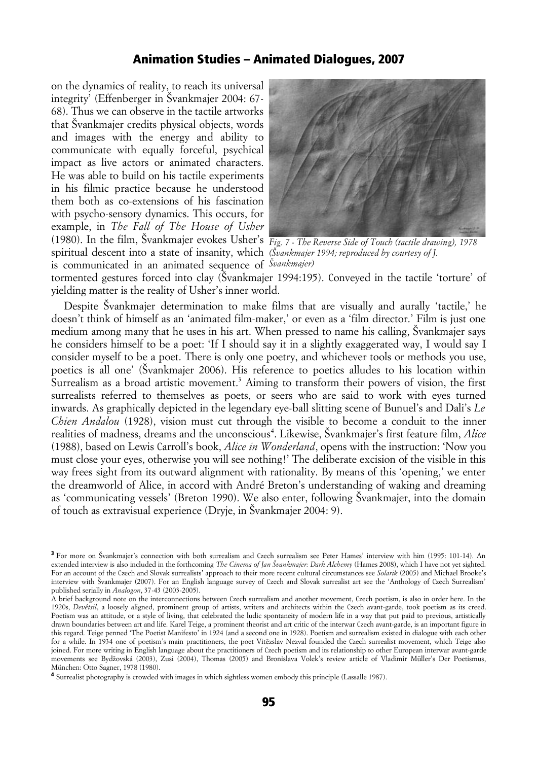on the dynamics of reality, to reach its universal integrity' (Effenberger in Švankmajer 2004: 67- 68). Thus we can observe in the tactile artworks that Švankmajer credits physical objects, words and images with the energy and ability to communicate with equally forceful, psychical impact as live actors or animated characters. He was able to build on his tactile experiments in his filmic practice because he understood them both as co-extensions of his fascination with psycho-sensory dynamics. This occurs, for example, in *The Fall of The House of Usher* (1980). In the film, Švankmajer evokes Usher's *Fig. 7 - The Reverse Side of Touch (tactile drawing), 1978* spiritual descent into a state of insanity, which *(Švankmajer 1994; reproduced by courtesy of J.* is communicated in an animated sequence of *Švankmajer)*



tormented gestures forced into clay (Švankmajer 1994:195). Conveyed in the tactile 'torture' of yielding matter is the reality of Usher's inner world.

Despite Švankmajer determination to make films that are visually and aurally 'tactile,' he doesn't think of himself as an 'animated film-maker,' or even as a 'film director.' Film is just one medium among many that he uses in his art. When pressed to name his calling, Švankmajer says he considers himself to be a poet: 'If I should say it in a slightly exaggerated way, I would say I consider myself to be a poet. There is only one poetry, and whichever tools or methods you use, poetics is all one' (Švankmajer 2006). His reference to poetics alludes to his location within Surrealism as a broad artistic movement.<sup>[3](#page-4-0)</sup> Aiming to transform their powers of vision, the first surrealists referred to themselves as poets, or seers who are said to work with eyes turned inwards. As graphically depicted in the legendary eye-ball slitting scene of Bunuel's and Dali's *Le Chien Andalou* (1928), vision must cut through the visible to become a conduit to the inner realities of madness, dreams and the unconscious<sup>[4](#page-4-1)</sup>. Likewise, Švankmajer's first feature film, *Alice* (1988), based on Lewis Carroll's book, *Alice in Wonderland*, opens with the instruction: 'Now you must close your eyes, otherwise you will see nothing!' The deliberate excision of the visible in this way frees sight from its outward alignment with rationality. By means of this 'opening,' we enter the dreamworld of Alice, in accord with André Breton's understanding of waking and dreaming as 'communicating vessels' (Breton 1990). We also enter, following Švankmajer, into the domain of touch as extravisual experience (Dryje, in Švankmajer 2004: 9).

<span id="page-4-1"></span>4 Surrealist photography is crowded with images in which sightless women embody this principle (Lassalle 1987).

<span id="page-4-0"></span><sup>3</sup> For more on Švankmajer's connection with both surrealism and Czech surrealism see Peter Hames' interview with him (1995: 101-14). An extended interview is also included in the forthcoming *The Cinema of Jan Švankmajer: Dark Alchemy* (Hames 2008), which I have not yet sighted. For an account of the Czech and Slovak surrealists' approach to their more recent cultural circumstances see *Solarik* (2005) and Michael Brooke's interview with Švankmajer (2007). For an English language survey of Czech and Slovak surrealist art see the 'Anthology of Czech Surrealism' published serially in *Analogon*, 37-43 (2003-2005).

A brief background note on the interconnections between Czech surrealism and another movement, Czech poetism, is also in order here. In the 1920s, *Devêtsil*, a loosely aligned, prominent group of artists, writers and architects within the Czech avant-garde, took poetism as its creed. Poetism was an attitude, or a style of living, that celebrated the ludic spontaneity of modern life in a way that put paid to previous, artistically drawn boundaries between art and life. Karel Teige, a prominent theorist and art critic of the interwar Czech avant-garde, is an important figure in this regard. Teige penned 'The Poetist Manifesto' in 1924 (and a second one in 1928). Poetism and surrealism existed in dialogue with each other for a while. In 1934 one of poetism's main practitioners, the poet Vitêzslav Nezval founded the Czech surrealist movement, which Teige also joined. For more writing in English language about the practitioners of Czech poetism and its relationship to other European interwar avant-garde movements see Bydžovská (2003), Zusi (2004), Thomas (2005) and Bronislava Volek's review article of Vladimir Müller's Der Poetismus, München: Otto Sagner, 1978 (1980).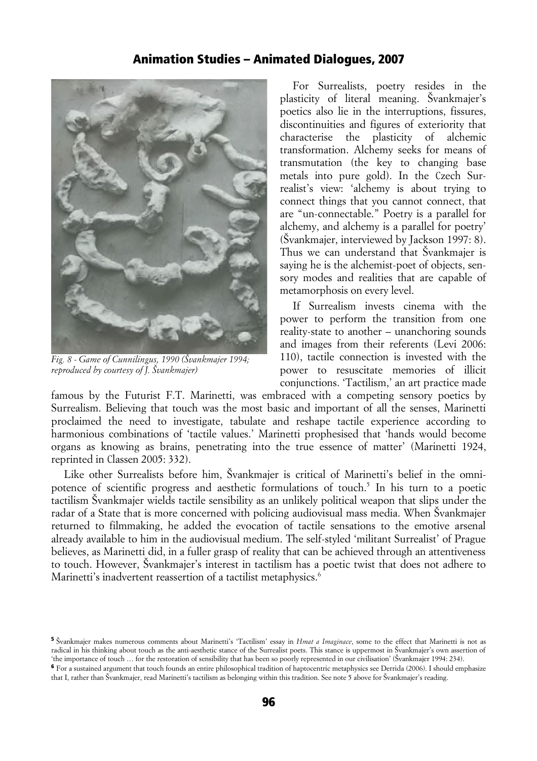

*Fig. 8 - Game of Cunnilingus, 1990 (Švankmajer 1994; reproduced by courtesy of J. Švankmajer)*

For Surrealists, poetry resides in the plasticity of literal meaning. Švankmajer's poetics also lie in the interruptions, fissures, discontinuities and figures of exteriority that characterise the plasticity of alchemic transformation. Alchemy seeks for means of transmutation (the key to changing base metals into pure gold). In the Czech Surrealist's view: 'alchemy is about trying to connect things that you cannot connect, that are "un-connectable." Poetry is a parallel for alchemy, and alchemy is a parallel for poetry' (Švankmajer, interviewed by Jackson 1997: 8). Thus we can understand that Švankmajer is saying he is the alchemist-poet of objects, sensory modes and realities that are capable of metamorphosis on every level.

If Surrealism invests cinema with the power to perform the transition from one reality-state to another – unanchoring sounds and images from their referents (Levi 2006: 110), tactile connection is invested with the power to resuscitate memories of illicit conjunctions. 'Tactilism,' an art practice made

famous by the Futurist F.T. Marinetti, was embraced with a competing sensory poetics by Surrealism. Believing that touch was the most basic and important of all the senses, Marinetti proclaimed the need to investigate, tabulate and reshape tactile experience according to harmonious combinations of 'tactile values.' Marinetti prophesised that 'hands would become organs as knowing as brains, penetrating into the true essence of matter' (Marinetti 1924, reprinted in Classen 2005: 332).

Like other Surrealists before him, Švankmajer is critical of Marinetti's belief in the omni-potence of scientific progress and aesthetic formulations of touch.<sup>[5](#page-5-0)</sup> In his turn to a poetic tactilism Švankmajer wields tactile sensibility as an unlikely political weapon that slips under the radar of a State that is more concerned with policing audiovisual mass media. When Švankmajer returned to filmmaking, he added the evocation of tactile sensations to the emotive arsenal already available to him in the audiovisual medium. The self-styled 'militant Surrealist' of Prague believes, as Marinetti did, in a fuller grasp of reality that can be achieved through an attentiveness to touch. However, Švankmajer's interest in tactilism has a poetic twist that does not adhere to Marinetti's inadvertent reassertion of a tactilist metaphysics.<sup>[6](#page-5-1)</sup>

<span id="page-5-0"></span><sup>5</sup> Švankmajer makes numerous comments about Marinetti's 'Tactilism' essay in *Hmat a Imaginace*, some to the effect that Marinetti is not as radical in his thinking about touch as the anti-aesthetic stance of the Surrealist poets. This stance is uppermost in Švankmajer's own assertion of 'the importance of touch … for the restoration of sensibility that has been so poorly represented in our civilisation' (Švankmajer 1994: 234).

<span id="page-5-1"></span><sup>&</sup>lt;sup>6</sup> For a sustained argument that touch founds an entire philosophical tradition of haptocentric metaphysics see Derrida (2006). I should emphasize that I, rather than Švankmajer, read Marinetti's tactilism as belonging within this tradition. See note 5 above for Švankmajer's reading.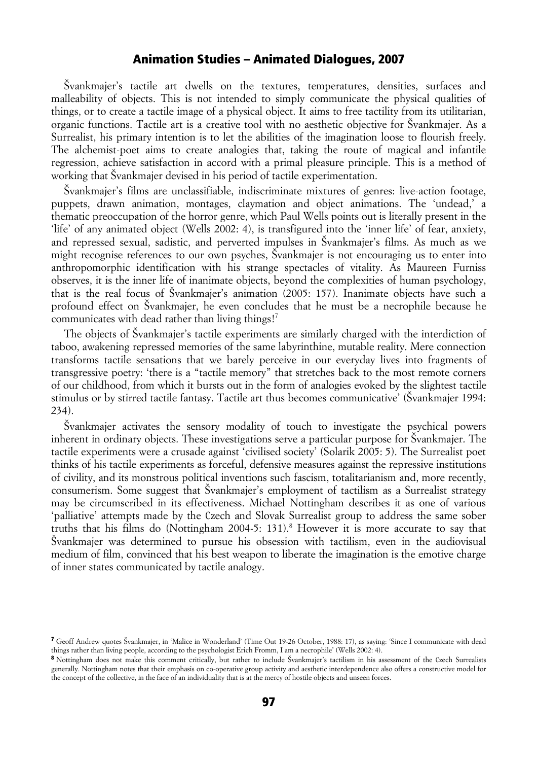Švankmajer's tactile art dwells on the textures, temperatures, densities, surfaces and malleability of objects. This is not intended to simply communicate the physical qualities of things, or to create a tactile image of a physical object. It aims to free tactility from its utilitarian, organic functions. Tactile art is a creative tool with no aesthetic objective for Švankmajer. As a Surrealist, his primary intention is to let the abilities of the imagination loose to flourish freely. The alchemist-poet aims to create analogies that, taking the route of magical and infantile regression, achieve satisfaction in accord with a primal pleasure principle. This is a method of working that Švankmajer devised in his period of tactile experimentation.

Švankmajer's films are unclassifiable, indiscriminate mixtures of genres: live-action footage, puppets, drawn animation, montages, claymation and object animations. The 'undead,' a thematic preoccupation of the horror genre, which Paul Wells points out is literally present in the 'life' of any animated object (Wells 2002: 4), is transfigured into the 'inner life' of fear, anxiety, and repressed sexual, sadistic, and perverted impulses in Švankmajer's films. As much as we might recognise references to our own psyches, Švankmajer is not encouraging us to enter into anthropomorphic identification with his strange spectacles of vitality. As Maureen Furniss observes, it is the inner life of inanimate objects, beyond the complexities of human psychology, that is the real focus of Švankmajer's animation (2005: 157). Inanimate objects have such a profound effect on Švankmajer, he even concludes that he must be a necrophile because he communicates with dead rather than living things![7](#page-6-0)

The objects of Švankmajer's tactile experiments are similarly charged with the interdiction of taboo, awakening repressed memories of the same labyrinthine, mutable reality. Mere connection transforms tactile sensations that we barely perceive in our everyday lives into fragments of transgressive poetry: 'there is a "tactile memory" that stretches back to the most remote corners of our childhood, from which it bursts out in the form of analogies evoked by the slightest tactile stimulus or by stirred tactile fantasy. Tactile art thus becomes communicative' (Švankmajer 1994: 234).

Švankmajer activates the sensory modality of touch to investigate the psychical powers inherent in ordinary objects. These investigations serve a particular purpose for Švankmajer. The tactile experiments were a crusade against 'civilised society' (Solarik 2005: 5). The Surrealist poet thinks of his tactile experiments as forceful, defensive measures against the repressive institutions of civility, and its monstrous political inventions such fascism, totalitarianism and, more recently, consumerism. Some suggest that Švankmajer's employment of tactilism as a Surrealist strategy may be circumscribed in its effectiveness. Michael Nottingham describes it as one of various 'palliative' attempts made by the Czech and Slovak Surrealist group to address the same sober truths that his films do (Nottingham 2004-5: 131).<sup>[8](#page-6-1)</sup> However it is more accurate to say that Švankmajer was determined to pursue his obsession with tactilism, even in the audiovisual medium of film, convinced that his best weapon to liberate the imagination is the emotive charge of inner states communicated by tactile analogy.

<span id="page-6-0"></span><sup>7</sup> Geoff Andrew quotes Švankmajer, in 'Malice in Wonderland' (Time Out 19-26 October, 1988: 17), as saying: 'Since I communicate with dead things rather than living people, according to the psychologist Erich Fromm, I am a necrophile' (Wells 2002: 4).

<span id="page-6-1"></span><sup>8</sup> Nottingham does not make this comment critically, but rather to include Švankmajer's tactilism in his assessment of the Czech Surrealists generally. Nottingham notes that their emphasis on co-operative group activity and aesthetic interdependence also offers a constructive model for the concept of the collective, in the face of an individuality that is at the mercy of hostile objects and unseen forces.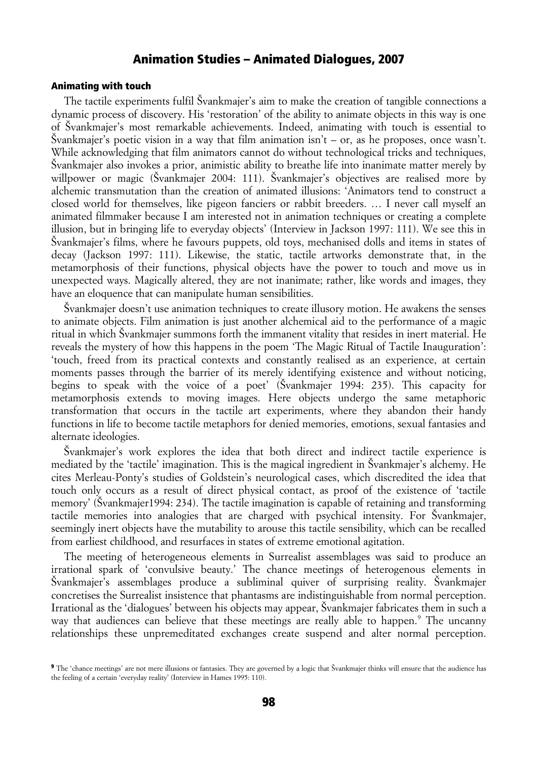#### Animating with touch

The tactile experiments fulfil Švankmajer's aim to make the creation of tangible connections a dynamic process of discovery. His 'restoration' of the ability to animate objects in this way is one of Švankmajer's most remarkable achievements. Indeed, animating with touch is essential to Švankmajer's poetic vision in a way that film animation isn't – or, as he proposes, once wasn't. While acknowledging that film animators cannot do without technological tricks and techniques, Švankmajer also invokes a prior, animistic ability to breathe life into inanimate matter merely by willpower or magic (Švankmajer 2004: 111). Švankmajer's objectives are realised more by alchemic transmutation than the creation of animated illusions: 'Animators tend to construct a closed world for themselves, like pigeon fanciers or rabbit breeders. … I never call myself an animated filmmaker because I am interested not in animation techniques or creating a complete illusion, but in bringing life to everyday objects' (Interview in Jackson 1997: 111). We see this in Švankmajer's films, where he favours puppets, old toys, mechanised dolls and items in states of decay (Jackson 1997: 111). Likewise, the static, tactile artworks demonstrate that, in the metamorphosis of their functions, physical objects have the power to touch and move us in unexpected ways. Magically altered, they are not inanimate; rather, like words and images, they have an eloquence that can manipulate human sensibilities.

Švankmajer doesn't use animation techniques to create illusory motion. He awakens the senses to animate objects. Film animation is just another alchemical aid to the performance of a magic ritual in which Švankmajer summons forth the immanent vitality that resides in inert material. He reveals the mystery of how this happens in the poem 'The Magic Ritual of Tactile Inauguration': 'touch, freed from its practical contexts and constantly realised as an experience, at certain moments passes through the barrier of its merely identifying existence and without noticing, begins to speak with the voice of a poet' (Švankmajer 1994: 235). This capacity for metamorphosis extends to moving images. Here objects undergo the same metaphoric transformation that occurs in the tactile art experiments, where they abandon their handy functions in life to become tactile metaphors for denied memories, emotions, sexual fantasies and alternate ideologies.

Švankmajer's work explores the idea that both direct and indirect tactile experience is mediated by the 'tactile' imagination. This is the magical ingredient in Švankmajer's alchemy. He cites Merleau-Ponty's studies of Goldstein's neurological cases, which discredited the idea that touch only occurs as a result of direct physical contact, as proof of the existence of 'tactile memory' (Švankmajer1994: 234). The tactile imagination is capable of retaining and transforming tactile memories into analogies that are charged with psychical intensity. For Švankmajer, seemingly inert objects have the mutability to arouse this tactile sensibility, which can be recalled from earliest childhood, and resurfaces in states of extreme emotional agitation.

The meeting of heterogeneous elements in Surrealist assemblages was said to produce an irrational spark of 'convulsive beauty.' The chance meetings of heterogenous elements in Švankmajer's assemblages produce a subliminal quiver of surprising reality. Švankmajer concretises the Surrealist insistence that phantasms are indistinguishable from normal perception. Irrational as the 'dialogues' between his objects may appear, Švankmajer fabricates them in such a way that audiences can believe that these meetings are really able to happen.<sup>[9](#page-7-0)</sup> The uncanny relationships these unpremeditated exchanges create suspend and alter normal perception.

<span id="page-7-0"></span><sup>&</sup>lt;sup>9</sup> The 'chance meetings' are not mere illusions or fantasies. They are governed by a logic that Švankmajer thinks will ensure that the audience has the feeling of a certain 'everyday reality' (Interview in Hames 1995: 110).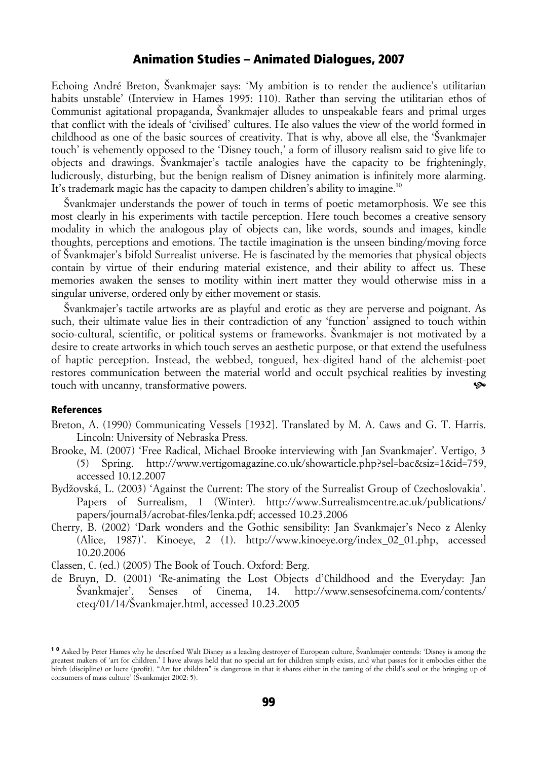Echoing André Breton, Švankmajer says: 'My ambition is to render the audience's utilitarian habits unstable' (Interview in Hames 1995: 110). Rather than serving the utilitarian ethos of Communist agitational propaganda, Švankmajer alludes to unspeakable fears and primal urges that conflict with the ideals of 'civilised' cultures. He also values the view of the world formed in childhood as one of the basic sources of creativity. That is why, above all else, the 'Švankmajer touch' is vehemently opposed to the 'Disney touch,' a form of illusory realism said to give life to objects and drawings. Švankmajer's tactile analogies have the capacity to be frighteningly, ludicrously, disturbing, but the benign realism of Disney animation is infinitely more alarming. It's trademark magic has the capacity to dampen children's ability to imagine.<sup>[10](#page-8-0)</sup>

Švankmajer understands the power of touch in terms of poetic metamorphosis. We see this most clearly in his experiments with tactile perception. Here touch becomes a creative sensory modality in which the analogous play of objects can, like words, sounds and images, kindle thoughts, perceptions and emotions. The tactile imagination is the unseen binding/moving force of Švankmajer's bifold Surrealist universe. He is fascinated by the memories that physical objects contain by virtue of their enduring material existence, and their ability to affect us. These memories awaken the senses to motility within inert matter they would otherwise miss in a singular universe, ordered only by either movement or stasis.

Švankmajer's tactile artworks are as playful and erotic as they are perverse and poignant. As such, their ultimate value lies in their contradiction of any 'function' assigned to touch within socio-cultural, scientific, or political systems or frameworks. Švankmajer is not motivated by a desire to create artworks in which touch serves an aesthetic purpose, or that extend the usefulness of haptic perception. Instead, the webbed, tongued, hex-digited hand of the alchemist-poet restores communication between the material world and occult psychical realities by investing touch with uncanny, transformative powers.

#### References

- Breton, A. (1990) Communicating Vessels [1932]. Translated by M. A. Caws and G. T. Harris. Lincoln: University of Nebraska Press.
- Brooke, M. (2007) 'Free Radical, Michael Brooke interviewing with Jan Svankmajer'. Vertigo, 3 (5) Spring. http://www.vertigomagazine.co.uk/showarticle.php?sel=bac&siz=1&id=759, accessed 10.12.2007
- Bydžovská, L. (2003) 'Against the Current: The story of the Surrealist Group of Czechoslovakia'. Papers of Surrealism, 1 (Winter). http://www.Surrealismcentre.ac.uk/publications/ papers/journal3/acrobat-files/lenka.pdf; accessed 10.23.2006
- Cherry, B. (2002) 'Dark wonders and the Gothic sensibility: Jan Svankmajer's Neco z Alenky (Alice, 1987)'. Kinoeye, 2 (1). http://www.kinoeye.org/index\_02\_01.php, accessed 10.20.2006

Classen, C. (ed.) (2005) The Book of Touch. Oxford: Berg.

de Bruyn, D. (2001) 'Re-animating the Lost Objects d'Childhood and the Everyday: Jan Švankmajer'. Senses of Cinema, 14. http://www.sensesofcinema.com/contents/ cteq/01/14/Švankmajer.html, accessed 10.23.2005

<span id="page-8-0"></span><sup>1 0</sup> Asked by Peter Hames why he described Walt Disney as a leading destroyer of European culture, Švankmajer contends: 'Disney is among the greatest makers of 'art for children.' I have always held that no special art for children simply exists, and what passes for it embodies either the birch (discipline) or lucre (profit). "Art for children" is dangerous in that it shares either in the taming of the child's soul or the bringing up of consumers of mass culture' (Švankmajer 2002: 5).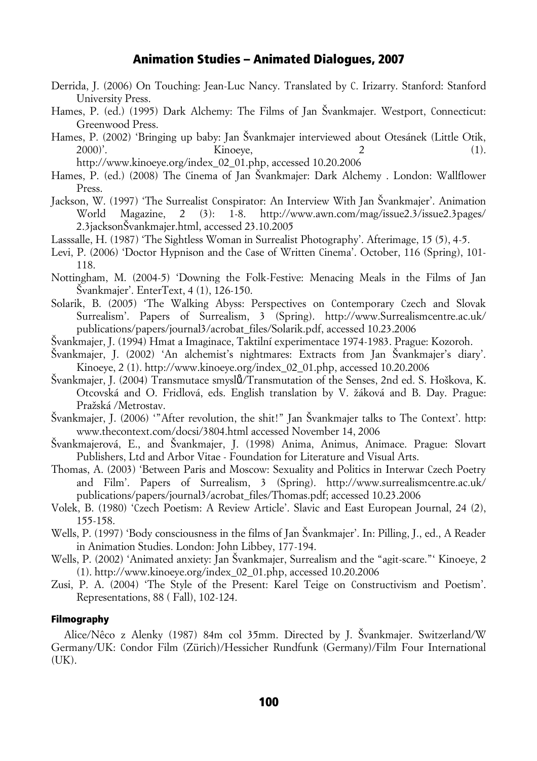- Derrida, J. (2006) On Touching: Jean-Luc Nancy. Translated by C. Irizarry. Stanford: Stanford University Press.
- Hames, P. (ed.) (1995) Dark Alchemy: The Films of Jan Švankmajer. Westport, Connecticut: Greenwood Press.
- Hames, P. (2002) 'Bringing up baby: Jan Švankmajer interviewed about Otesánek (Little Otik, 2000)'. Kinoeye, 2 (1).
	- http://www.kinoeye.org/index\_02\_01.php, accessed 10.20.2006
- Hames, P. (ed.) (2008) The Cinema of Jan Švankmajer: Dark Alchemy . London: Wallflower Press.
- Jackson, W. (1997) 'The Surrealist Conspirator: An Interview With Jan Švankmajer'. Animation World Magazine, 2 (3): 1-8. http://www.awn.com/mag/issue2.3/issue2.3pages/ 2.3jacksonŠvankmajer.html, accessed 23.10.2005
- Lasssalle, H. (1987) 'The Sightless Woman in Surrealist Photography'. Afterimage, 15 (5), 4-5.
- Levi, P. (2006) 'Doctor Hypnison and the Case of Written Cinema'. October, 116 (Spring), 101- 118.
- Nottingham, M. (2004-5) 'Downing the Folk-Festive: Menacing Meals in the Films of Jan Švankmajer'. EnterText, 4 (1), 126-150.
- Solarik, B. (2005) 'The Walking Abyss: Perspectives on Contemporary Czech and Slovak Surrealism'. Papers of Surrealism, 3 (Spring). http://www.Surrealismcentre.ac.uk/ publications/papers/journal3/acrobat\_files/Solarik.pdf, accessed 10.23.2006
- Švankmajer, J. (1994) Hmat a Imaginace, Taktilní experimentace 1974-1983. Prague: Kozoroh.
- Švankmajer, J. (2002) 'An alchemist's nightmares: Extracts from Jan Švankmajer's diary'. Kinoeye, 2 (1). http://www.kinoeye.org/index\_02\_01.php, accessed 10.20.2006
- Švankmajer, J. (2004) Transmutace smysl**ů**/Transmutation of the Senses, 2nd ed. S. Hoškova, K. Otcovská and O. Fridlová, eds. English translation by V. žáková and B. Day. Prague: Pražská /Metrostav.
- Švankmajer, J. (2006) '"After revolution, the shit!" Jan Švankmajer talks to The Context'. http: www.thecontext.com/docsi/3804.html accessed November 14, 2006
- Švankmajerová, E., and Švankmajer, J. (1998) Anima, Animus, Animace. Prague: Slovart Publishers, Ltd and Arbor Vitae - Foundation for Literature and Visual Arts.
- Thomas, A. (2003) 'Between Paris and Moscow: Sexuality and Politics in Interwar Czech Poetry and Film'. Papers of Surrealism, 3 (Spring). http://www.surrealismcentre.ac.uk/ publications/papers/journal3/acrobat\_files/Thomas.pdf; accessed 10.23.2006
- Volek, B. (1980) 'Czech Poetism: A Review Article'. Slavic and East European Journal, 24 (2), 155-158.
- Wells, P. (1997) 'Body consciousness in the films of Jan Švankmajer'. In: Pilling, J., ed., A Reader in Animation Studies. London: John Libbey, 177-194.
- Wells, P. (2002) 'Animated anxiety: Jan Švankmajer, Surrealism and the "agit-scare."' Kinoeye, 2 (1). http://www.kinoeye.org/index\_02\_01.php, accessed 10.20.2006
- Zusi, P. A. (2004) 'The Style of the Present: Karel Teige on Constructivism and Poetism'. Representations, 88 ( Fall), 102-124.

#### Filmography

Alice/Nêco z Alenky (1987) 84m col 35mm. Directed by J. Švankmajer. Switzerland/W Germany/UK: Condor Film (Zürich)/Hessicher Rundfunk (Germany)/Film Four International (UK).